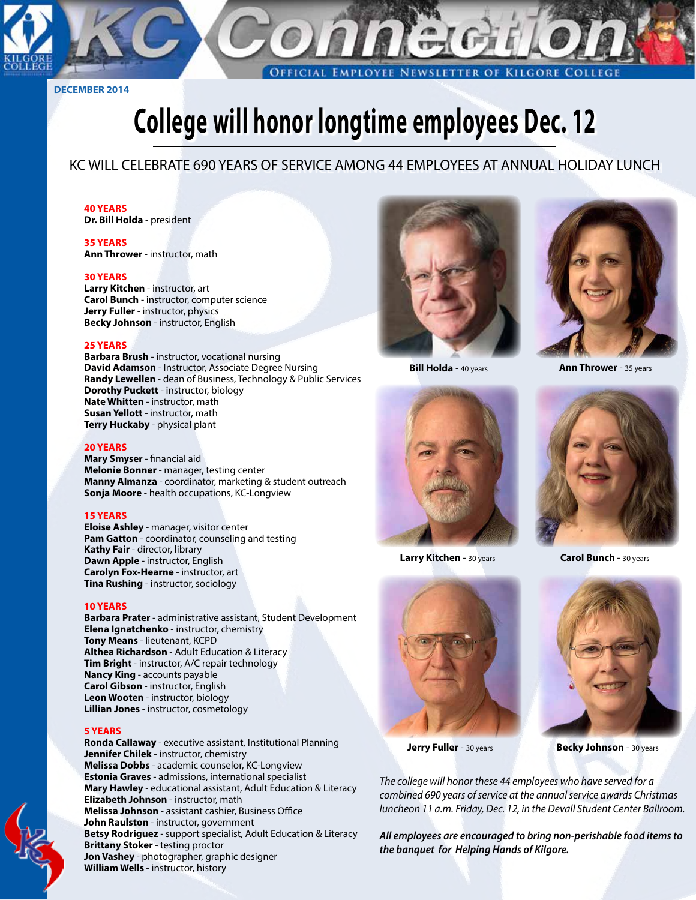

**DECEMBER 2014**

# **College will honor longtime employees Dec. 12**

#### KC WILL CELEBRATE 690 YEARS OF SERVICE AMONG 44 EMPLOYEES AT ANNUAL HOLIDAY LUNCH

#### **40 YEARS**

**Dr. Bill Holda** - president

#### **35 YEARS Ann Thrower** - instructor, math

#### **30 YEARS**

**Larry Kitchen** - instructor, art **Carol Bunch** - instructor, computer science **Jerry Fuller** - instructor, physics **Becky Johnson** - instructor, English

#### **25 YEARS**

**Barbara Brush** - instructor, vocational nursing **David Adamson** - Instructor, Associate Degree Nursing **Randy Lewellen** - dean of Business, Technology & Public Services **Dorothy Puckett** - instructor, biology **Nate Whitten** - instructor, math **Susan Yellott** - instructor, math **Terry Huckaby** - physical plant

#### **20 YEARS**

**Mary Smyser** - financial aid **Melonie Bonner** - manager, testing center **Manny Almanza** - coordinator, marketing & student outreach **Sonja Moore** - health occupations, KC-Longview

#### **15 YEARS**

**Eloise Ashley** - manager, visitor center **Pam Gatton** - coordinator, counseling and testing **Kathy Fair** - director, library **Dawn Apple** - instructor, English **Carolyn Fox-Hearne** - instructor, art **Tina Rushing** - instructor, sociology

#### **10 YEARS**

**Barbara Prater** - administrative assistant, Student Development **Elena Ignatchenko** - instructor, chemistry **Tony Means** - lieutenant, KCPD **Althea Richardson** - Adult Education & Literacy **Tim Bright** - instructor, A/C repair technology **Nancy King** - accounts payable **Carol Gibson** - instructor, English **Leon Wooten** - instructor, biology **Lillian Jones** - instructor, cosmetology

#### **5 YEARS**

**Ronda Callaway** - executive assistant, Institutional Planning **Jennifer Chilek** - instructor, chemistry **Melissa Dobbs** - academic counselor, KC-Longview **Estonia Graves** - admissions, international specialist **Mary Hawley** - educational assistant, Adult Education & Literacy **Elizabeth Johnson** - instructor, math **Melissa Johnson** - assistant cashier, Business Office **John Raulston** - instructor, government **Betsy Rodriguez** - support specialist, Adult Education & Literacy **Brittany Stoker** - testing proctor **Jon Vashey** - photographer, graphic designer **William Wells** - instructor, history





**Bill Holda** - 40 years **Ann Thrower** - 35 years



**Larry Kitchen** - 30 years







**Jerry Fuller** - 30 years **Becky Johnson** - 30 years

*The college will honor these 44 employees who have served for a combined 690 years of service at the annual service awards Christmas luncheon 11 a.m. Friday, Dec. 12, in the Devall Student Center Ballroom.* 

*All employees are encouraged to bring non-perishable food items to the banquet for Helping Hands of Kilgore.*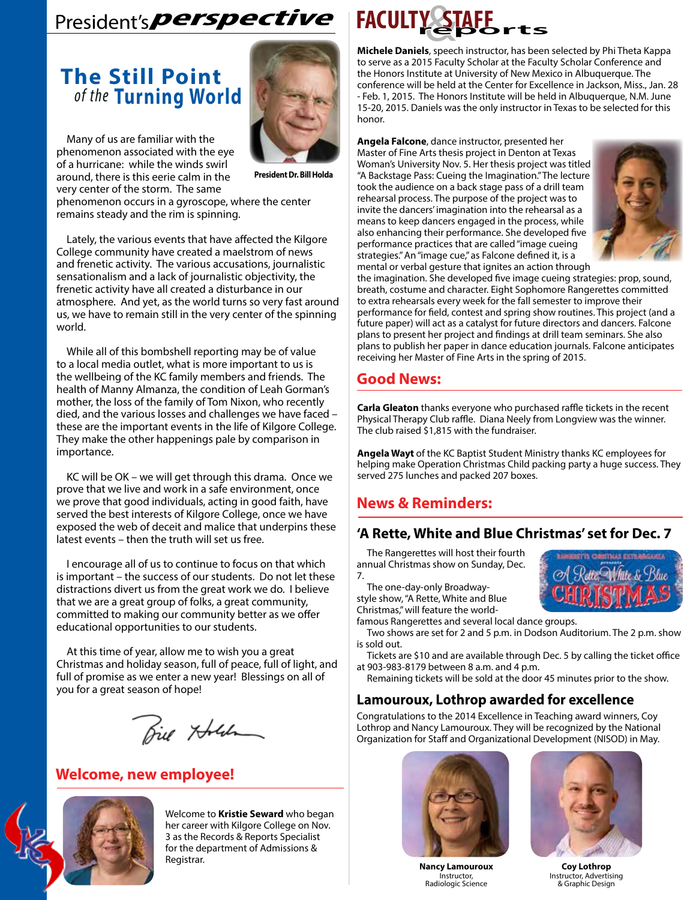## President's**perspective**

### **The Still Point**  *of the* **Turning World**

Many of us are familiar with the phenomenon associated with the eye of a hurricane: while the winds swirl around, there is this eerie calm in the very center of the storm. The same



**President Dr. Bill Holda**

phenomenon occurs in a gyroscope, where the center remains steady and the rim is spinning.

Lately, the various events that have affected the Kilgore College community have created a maelstrom of news and frenetic activity. The various accusations, journalistic sensationalism and a lack of journalistic objectivity, the frenetic activity have all created a disturbance in our atmosphere. And yet, as the world turns so very fast around us, we have to remain still in the very center of the spinning world.

While all of this bombshell reporting may be of value to a local media outlet, what is more important to us is the wellbeing of the KC family members and friends. The health of Manny Almanza, the condition of Leah Gorman's mother, the loss of the family of Tom Nixon, who recently died, and the various losses and challenges we have faced – these are the important events in the life of Kilgore College. They make the other happenings pale by comparison in importance.

KC will be OK – we will get through this drama. Once we prove that we live and work in a safe environment, once we prove that good individuals, acting in good faith, have served the best interests of Kilgore College, once we have exposed the web of deceit and malice that underpins these latest events – then the truth will set us free.

I encourage all of us to continue to focus on that which is important – the success of our students. Do not let these distractions divert us from the great work we do. I believe that we are a great group of folks, a great community, committed to making our community better as we offer educational opportunities to our students.

At this time of year, allow me to wish you a great Christmas and holiday season, full of peace, full of light, and full of promise as we enter a new year! Blessings on all of you for a great season of hope!

Biel Holden

#### **Welcome, new employee!**



Welcome to **Kristie Seward** who began her career with Kilgore College on Nov. 3 as the Records & Reports Specialist for the department of Admissions & Registrar.



**Michele Daniels**, speech instructor, has been selected by Phi Theta Kappa to serve as a 2015 Faculty Scholar at the Faculty Scholar Conference and the Honors Institute at University of New Mexico in Albuquerque. The conference will be held at the Center for Excellence in Jackson, Miss., Jan. 28 - Feb. 1, 2015. The Honors Institute will be held in Albuquerque, N.M. June 15-20, 2015. Daniels was the only instructor in Texas to be selected for this honor.

**Angela Falcone**, dance instructor, presented her Master of Fine Arts thesis project in Denton at Texas Woman's University Nov. 5. Her thesis project was titled "A Backstage Pass: Cueing the Imagination." The lecture took the audience on a back stage pass of a drill team rehearsal process. The purpose of the project was to invite the dancers' imagination into the rehearsal as a means to keep dancers engaged in the process, while also enhancing their performance. She developed five performance practices that are called "image cueing strategies." An "image cue," as Falcone defined it, is a mental or verbal gesture that ignites an action through



the imagination. She developed five image cueing strategies: prop, sound, breath, costume and character. Eight Sophomore Rangerettes committed to extra rehearsals every week for the fall semester to improve their performance for field, contest and spring show routines. This project (and a future paper) will act as a catalyst for future directors and dancers. Falcone plans to present her project and findings at drill team seminars. She also plans to publish her paper in dance education journals. Falcone anticipates receiving her Master of Fine Arts in the spring of 2015.

#### **Good News:**

**Carla Gleaton** thanks everyone who purchased raffle tickets in the recent Physical Therapy Club raffle. Diana Neely from Longview was the winner. The club raised \$1,815 with the fundraiser.

**Angela Wayt** of the KC Baptist Student Ministry thanks KC employees for helping make Operation Christmas Child packing party a huge success. They served 275 lunches and packed 207 boxes.

#### **News & Reminders:**

#### **'A Rette, White and Blue Christmas' set for Dec. 7**

The Rangerettes will host their fourth annual Christmas show on Sunday, Dec. 7.

The one-day-only Broadwaystyle show, "A Rette, White and Blue Christmas," will feature the world-



famous Rangerettes and several local dance groups.

Two shows are set for 2 and 5 p.m. in Dodson Auditorium. The 2 p.m. show is sold out.

Tickets are \$10 and are available through Dec. 5 by calling the ticket office at 903-983-8179 between 8 a.m. and 4 p.m.

Remaining tickets will be sold at the door 45 minutes prior to the show.

#### **Lamouroux, Lothrop awarded for excellence**

Congratulations to the 2014 Excellence in Teaching award winners, Coy Lothrop and Nancy Lamouroux. They will be recognized by the National Organization for Staff and Organizational Development (NISOD) in May.



**Nancy Lamouroux** Instructor, Radiologic Science



**Coy Lothrop** Instructor, Advertising & Graphic Design